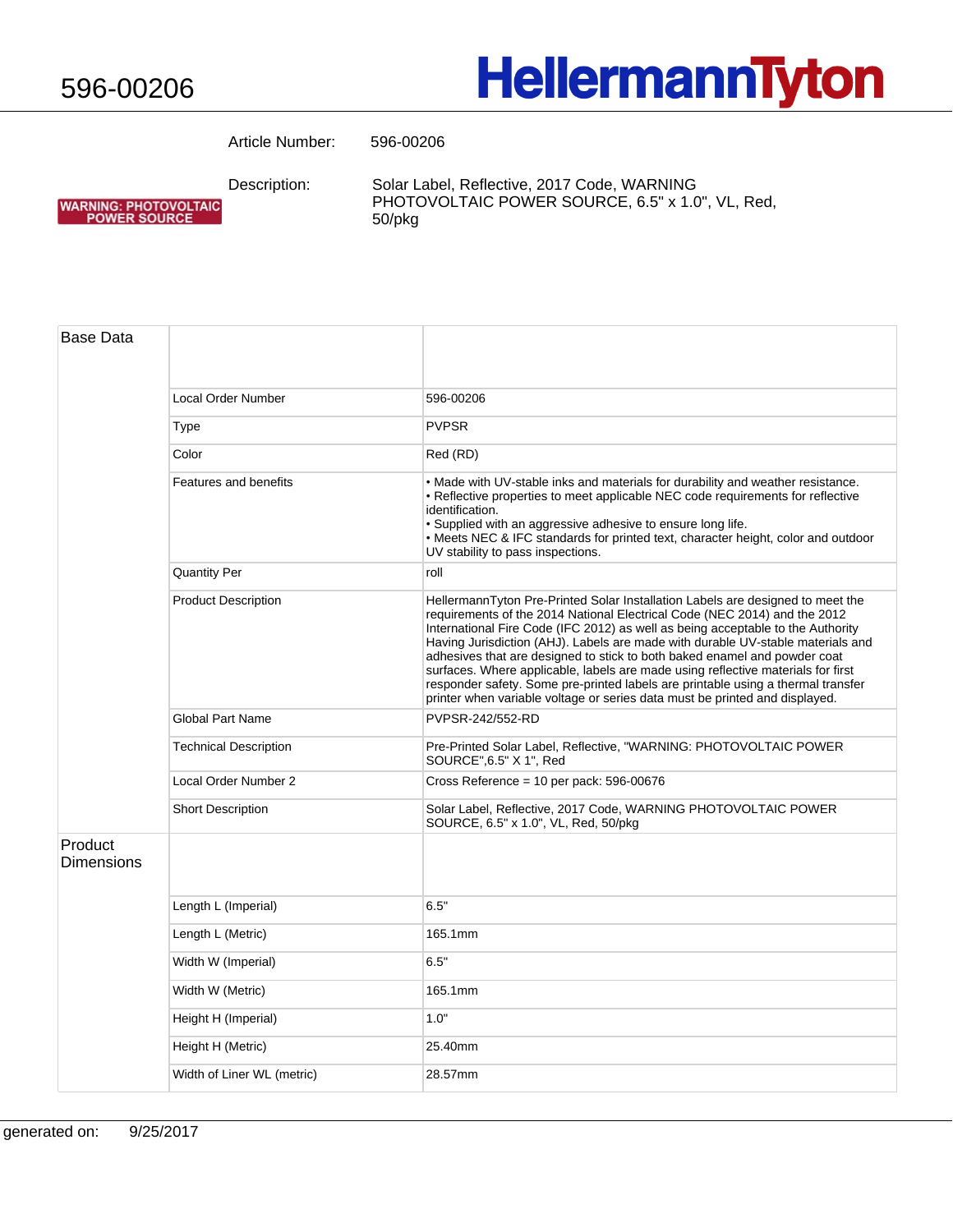WARNING: PHOTOVOLTAIC<br>POWER SOURCE

## **HellermannTyton**

Article Number: 596-00206

Description:

Solar Label, Reflective, 2017 Code, WARNING PHOTOVOLTAIC POWER SOURCE, 6.5" x 1.0", VL, Red, 50/pkg

| Base Data             |                              |                                                                                                                                                                                                                                                                                                                                                                                                                                                                                                                                                                                                                                                                       |
|-----------------------|------------------------------|-----------------------------------------------------------------------------------------------------------------------------------------------------------------------------------------------------------------------------------------------------------------------------------------------------------------------------------------------------------------------------------------------------------------------------------------------------------------------------------------------------------------------------------------------------------------------------------------------------------------------------------------------------------------------|
|                       | Local Order Number           | 596-00206                                                                                                                                                                                                                                                                                                                                                                                                                                                                                                                                                                                                                                                             |
|                       | Type                         | <b>PVPSR</b>                                                                                                                                                                                                                                                                                                                                                                                                                                                                                                                                                                                                                                                          |
|                       | Color                        | Red (RD)                                                                                                                                                                                                                                                                                                                                                                                                                                                                                                                                                                                                                                                              |
|                       | <b>Features and benefits</b> | • Made with UV-stable inks and materials for durability and weather resistance.<br>• Reflective properties to meet applicable NEC code requirements for reflective<br>identification.<br>· Supplied with an aggressive adhesive to ensure long life.<br>• Meets NEC & IFC standards for printed text, character height, color and outdoor<br>UV stability to pass inspections.                                                                                                                                                                                                                                                                                        |
|                       | <b>Quantity Per</b>          | roll                                                                                                                                                                                                                                                                                                                                                                                                                                                                                                                                                                                                                                                                  |
|                       | <b>Product Description</b>   | HellermannTyton Pre-Printed Solar Installation Labels are designed to meet the<br>requirements of the 2014 National Electrical Code (NEC 2014) and the 2012<br>International Fire Code (IFC 2012) as well as being acceptable to the Authority<br>Having Jurisdiction (AHJ). Labels are made with durable UV-stable materials and<br>adhesives that are designed to stick to both baked enamel and powder coat<br>surfaces. Where applicable, labels are made using reflective materials for first<br>responder safety. Some pre-printed labels are printable using a thermal transfer<br>printer when variable voltage or series data must be printed and displayed. |
|                       | <b>Global Part Name</b>      | PVPSR-242/552-RD                                                                                                                                                                                                                                                                                                                                                                                                                                                                                                                                                                                                                                                      |
|                       | <b>Technical Description</b> | Pre-Printed Solar Label, Reflective, "WARNING: PHOTOVOLTAIC POWER<br>SOURCE", 6.5" X 1", Red                                                                                                                                                                                                                                                                                                                                                                                                                                                                                                                                                                          |
|                       | Local Order Number 2         | Cross Reference = $10$ per pack: 596-00676                                                                                                                                                                                                                                                                                                                                                                                                                                                                                                                                                                                                                            |
|                       | <b>Short Description</b>     | Solar Label, Reflective, 2017 Code, WARNING PHOTOVOLTAIC POWER<br>SOURCE, 6.5" x 1.0", VL, Red, 50/pkg                                                                                                                                                                                                                                                                                                                                                                                                                                                                                                                                                                |
| Product<br>Dimensions |                              |                                                                                                                                                                                                                                                                                                                                                                                                                                                                                                                                                                                                                                                                       |
|                       | Length L (Imperial)          | 6.5"                                                                                                                                                                                                                                                                                                                                                                                                                                                                                                                                                                                                                                                                  |
|                       | Length L (Metric)            | 165.1mm                                                                                                                                                                                                                                                                                                                                                                                                                                                                                                                                                                                                                                                               |
|                       | Width W (Imperial)           | 6.5"                                                                                                                                                                                                                                                                                                                                                                                                                                                                                                                                                                                                                                                                  |
|                       | Width W (Metric)             | 165.1mm                                                                                                                                                                                                                                                                                                                                                                                                                                                                                                                                                                                                                                                               |
|                       | Height H (Imperial)          | 1.0"                                                                                                                                                                                                                                                                                                                                                                                                                                                                                                                                                                                                                                                                  |
|                       | Height H (Metric)            | 25.40mm                                                                                                                                                                                                                                                                                                                                                                                                                                                                                                                                                                                                                                                               |
|                       | Width of Liner WL (metric)   | 28.57mm                                                                                                                                                                                                                                                                                                                                                                                                                                                                                                                                                                                                                                                               |